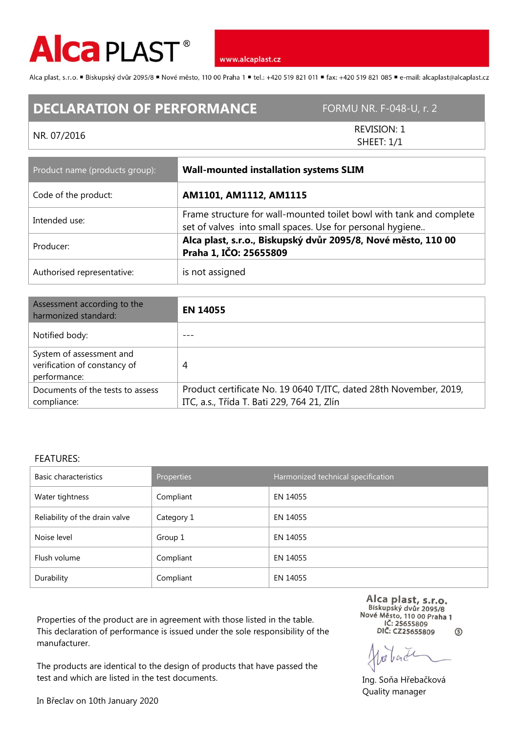

www.alcaplast.cz

Alca plast, s.r.o. "Biskupský dvůr 2095/8 "Nové město, 110 00 Praha 1 "tel.: +420 519 821 011 "fax: +420 519 821 085 " e-mail: alcaplast@alcaplast.cz

## **DECLARATION OF PERFORMANCE** FORMU NR. F-048-U, r. 2

## NR. 07/2016

REVISION: 1 SHEET: 1/1

| Product name (products group): | <b>Wall-mounted installation systems SLIM</b>                                                                                    |  |
|--------------------------------|----------------------------------------------------------------------------------------------------------------------------------|--|
| Code of the product:           | AM1101, AM1112, AM1115                                                                                                           |  |
| Intended use:                  | Frame structure for wall-mounted toilet bowl with tank and complete<br>set of valves into small spaces. Use for personal hygiene |  |
| Producer:                      | Alca plast, s.r.o., Biskupský dvůr 2095/8, Nové město, 110 00<br>Praha 1, IČO: 25655809                                          |  |
| Authorised representative:     | is not assigned                                                                                                                  |  |

| Assessment according to the<br>harmonized standard:                      | <b>EN 14055</b>                                                                                                 |
|--------------------------------------------------------------------------|-----------------------------------------------------------------------------------------------------------------|
| Notified body:                                                           |                                                                                                                 |
| System of assessment and<br>verification of constancy of<br>performance: | 4                                                                                                               |
| Documents of the tests to assess<br>compliance:                          | Product certificate No. 19 0640 T/ITC, dated 28th November, 2019,<br>ITC, a.s., Třída T. Bati 229, 764 21, Zlín |

## FEATURES:

| Basic characteristics          | Properties | Harmonized technical specification |  |
|--------------------------------|------------|------------------------------------|--|
| Water tightness                | Compliant  | EN 14055                           |  |
| Reliability of the drain valve | Category 1 | EN 14055                           |  |
| Noise level                    | Group 1    | EN 14055                           |  |
| Flush volume                   | Compliant  | EN 14055                           |  |
| Durability                     | Compliant  | EN 14055                           |  |

Properties of the product are in agreement with those listed in the table. This declaration of performance is issued under the sole responsibility of the manufacturer.

The products are identical to the design of products that have passed the test and which are listed in the test documents.

Alca plast, s.r.o.<br>Biskupský dvůr 2095/8 Nové Město, 110 00 Praha 1<br>IČ: 25655809 DIČ: CZ25655809  $\circledS$ 

back

Ing. Soňa Hřebačková Quality manager

In Břeclav on 10th January 2020